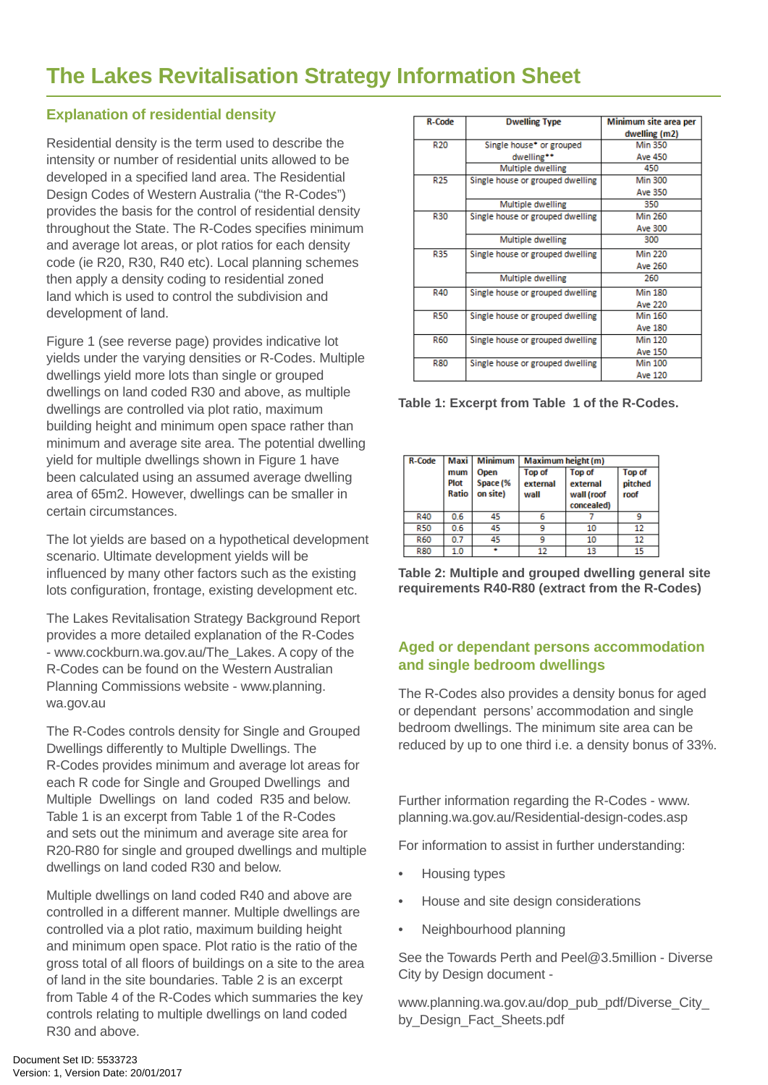### **Explanation of residential density**

Residential density is the term used to describe the intensity or number of residential units allowed to be developed in a specified land area. The Residential Design Codes of Western Australia ("the R-Codes") provides the basis for the control of residential density throughout the State. The R-Codes specifies minimum and average lot areas, or plot ratios for each density code (ie R20, R30, R40 etc). Local planning schemes then apply a density coding to residential zoned land which is used to control the subdivision and development of land.

Figure 1 (see reverse page) provides indicative lot yields under the varying densities or R-Codes. Multiple dwellings yield more lots than single or grouped dwellings on land coded R30 and above, as multiple dwellings are controlled via plot ratio, maximum building height and minimum open space rather than minimum and average site area. The potential dwelling yield for multiple dwellings shown in Figure 1 have been calculated using an assumed average dwelling area of 65m2. However, dwellings can be smaller in certain circumstances.

The lot yields are based on a hypothetical development scenario. Ultimate development yields will be influenced by many other factors such as the existing lots configuration, frontage, existing development etc.

The Lakes Revitalisation Strategy Background Report provides a more detailed explanation of the R-Codes - www.cockburn.wa.gov.au/The\_Lakes. A copy of the R-Codes can be found on the Western Australian Planning Commissions website - www.planning. wa.gov.au

The R-Codes controls density for Single and Grouped Dwellings differently to Multiple Dwellings. The R-Codes provides minimum and average lot areas for each R code for Single and Grouped Dwellings and Multiple Dwellings on land coded R35 and below. Table 1 is an excerpt from Table 1 of the R-Codes and sets out the minimum and average site area for R20-R80 for single and grouped dwellings and multiple dwellings on land coded R30 and below.

Multiple dwellings on land coded R40 and above are controlled in a different manner. Multiple dwellings are controlled via a plot ratio, maximum building height and minimum open space. Plot ratio is the ratio of the gross total of all floors of buildings on a site to the area of land in the site boundaries. Table 2 is an excerpt from Table 4 of the R-Codes which summaries the key controls relating to multiple dwellings on land coded R30 and above.

| <b>R-Code</b>   | <b>Dwelling Type</b>             | Minimum site area per |
|-----------------|----------------------------------|-----------------------|
|                 |                                  | dwelling (m2)         |
| R <sub>20</sub> | Single house* or grouped         | <b>Min 350</b>        |
|                 | dwelling**                       | <b>Ave 450</b>        |
|                 | Multiple dwelling                | 450                   |
| <b>R25</b>      | Single house or grouped dwelling | <b>Min 300</b>        |
|                 |                                  | Ave 350               |
|                 | Multiple dwelling                | 350                   |
| <b>R30</b>      | Single house or grouped dwelling | <b>Min 260</b>        |
|                 |                                  | Ave 300               |
|                 | Multiple dwelling                | 300                   |
| <b>R35</b>      | Single house or grouped dwelling | <b>Min 220</b>        |
|                 |                                  | Ave 260               |
|                 | Multiple dwelling                | 260                   |
| <b>R40</b>      | Single house or grouped dwelling | <b>Min 180</b>        |
|                 |                                  | <b>Ave 220</b>        |
| <b>R50</b>      | Single house or grouped dwelling | <b>Min 160</b>        |
|                 |                                  | Ave 180               |
| <b>R60</b>      | Single house or grouped dwelling | <b>Min 120</b>        |
|                 |                                  | Ave 150               |
| <b>R80</b>      | Single house or grouped dwelling | <b>Min 100</b>        |
|                 |                                  | <b>Ave 120</b>        |

**Table 1: Excerpt from Table 1 of the R-Codes.**

| <b>R-Code</b> | Maxi                 | <b>Minimum</b>               | Maximum height (m)                |                                                       |                           |
|---------------|----------------------|------------------------------|-----------------------------------|-------------------------------------------------------|---------------------------|
|               | mum<br>Plot<br>Ratio | Open<br>Space (%<br>on site) | <b>Top of</b><br>external<br>wall | <b>Top of</b><br>external<br>wall (roof<br>concealed) | Top of<br>pitched<br>roof |
| R40           | 0.6                  | 45                           | 6                                 |                                                       | 9                         |
| <b>R50</b>    | 0.6                  | 45                           | ٩                                 | 10                                                    | 12                        |
| <b>R60</b>    | 0.7                  | 45                           | ٩                                 | 10                                                    | 12                        |
| <b>R80</b>    | 1.0                  |                              | 12                                | 13                                                    | 15                        |

**Table 2: Multiple and grouped dwelling general site requirements R40-R80 (extract from the R-Codes)**

### **Aged or dependant persons accommodation and single bedroom dwellings**

The R-Codes also provides a density bonus for aged or dependant persons' accommodation and single bedroom dwellings. The minimum site area can be reduced by up to one third i.e. a density bonus of 33%.

Further information regarding the R-Codes - www. planning.wa.gov.au/Residential-design-codes.asp

For information to assist in further understanding:

- Housing types
- House and site design considerations
- Neighbourhood planning

See the Towards Perth and Peel@3.5million - Diverse City by Design document -

www.planning.wa.gov.au/dop\_pub\_pdf/Diverse\_City\_ by Design Fact Sheets.pdf